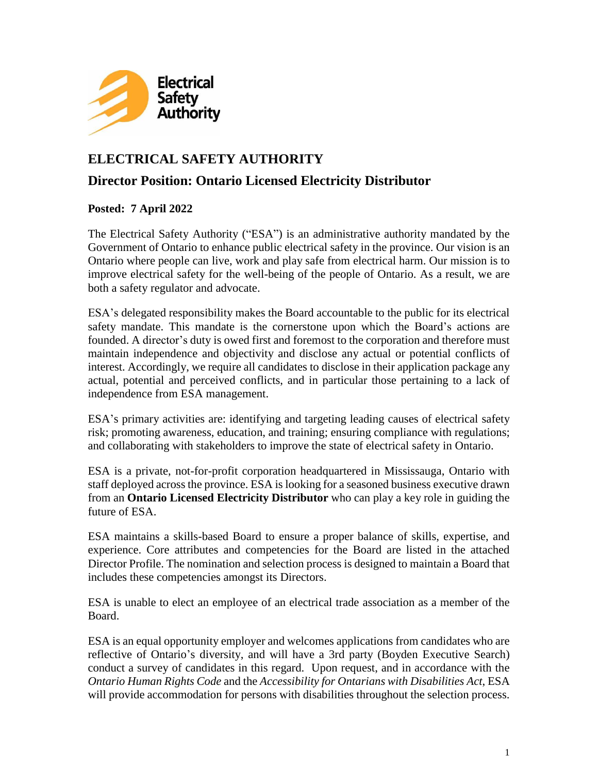

# **ELECTRICAL SAFETY AUTHORITY**

### **Director Position: Ontario Licensed Electricity Distributor**

#### **Posted: 7 April 2022**

The Electrical Safety Authority ("ESA") is an [administrative](https://www.esasafe.com/about-esa/governance-and-regs/admin.-agreement) authority mandated by the Government of Ontario to enhance public electrical safety in the province. Our vision is an Ontario where people can live, work and play safe from electrical harm. Our mission is to improve electrical safety for the well-being of the people of Ontario. As a result, we are both a safety regulator and advocate.

ESA's delegated responsibility makes the Board accountable to the public for its electrical safety mandate. This mandate is the cornerstone upon which the Board's actions are founded. A director's duty is owed first and foremost to the corporation and therefore must maintain independence and objectivity and disclose any actual or potential conflicts of interest. Accordingly, we require all candidates to disclose in their application package any actual, potential and perceived conflicts, and in particular those pertaining to a lack of independence from ESA management.

ESA's primary activities are: identifying and targeting leading causes of electrical safety risk; promoting awareness, education, and training; ensuring compliance with regulations; and collaborating with stakeholders to improve the state of electrical safety in Ontario.

ESA is a private, not-for-profit corporation headquartered in Mississauga, Ontario with staff deployed across the province. ESA is looking for a seasoned business executive drawn from an **Ontario Licensed Electricity Distributor** who can play a key role in guiding the future of ESA.

ESA maintains a skills-based Board to ensure a proper balance of skills, expertise, and experience. Core attributes and competencies for the Board are listed in the attached Director Profile. The nomination and selection process is designed to maintain a Board that includes these competencies amongst its Directors.

ESA is unable to elect an employee of an electrical trade association as a member of the Board.

ESA is an equal opportunity employer and welcomes applications from candidates who are reflective of Ontario's diversity, and will have a 3rd party (Boyden Executive Search) conduct a survey of candidates in this regard. Upon request, and in accordance with the *Ontario Human Rights Code* and the *Accessibility for Ontarians with Disabilities Act*, ESA will provide accommodation for persons with disabilities throughout the selection process.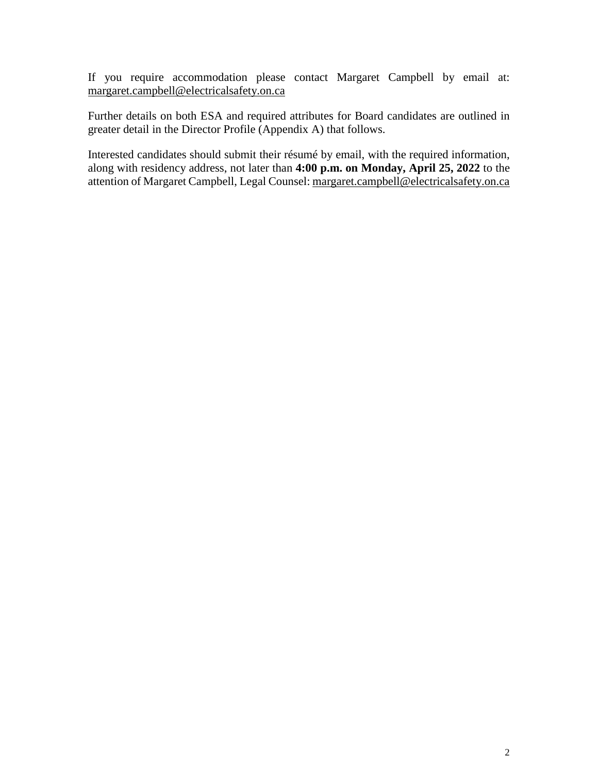If you require accommodation please contact Margaret Campbell by email at: [margaret.campbell@electricalsafety.on.ca](mailto:margaret.campbell@electricalsafety.on.ca)

Further details on both ESA and required attributes for Board candidates are outlined in greater detail in the Director Profile (Appendix A) that follows.

Interested candidates should submit their résumé by email, with the required information, along with residency address, not later than **4:00 p.m. on Monday, April 25, 2022** to the attention of Margaret Campbell, Legal Counsel: [margaret.campbell@electricalsafety.on.ca](mailto:margaret.campbell@electricalsafety.on.ca)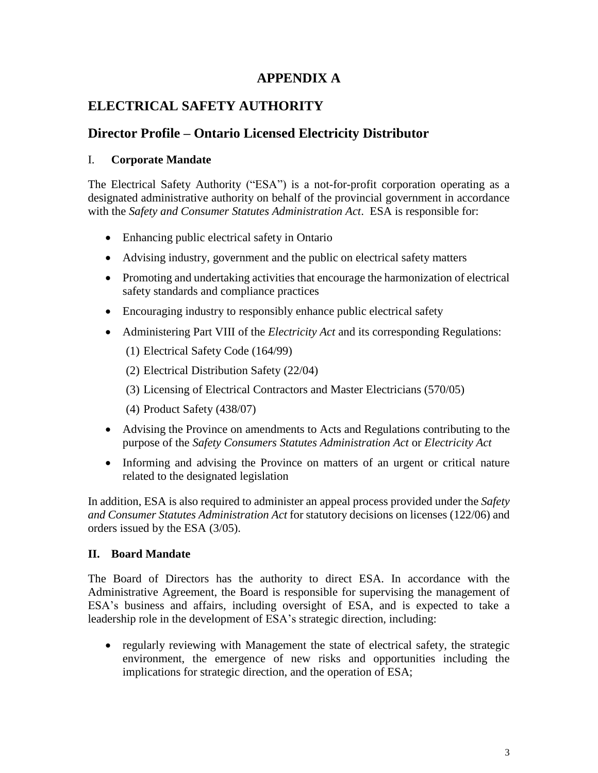### **APPENDIX A**

## **ELECTRICAL SAFETY AUTHORITY**

## **Director Profile – Ontario Licensed Electricity Distributor**

#### I. **Corporate Mandate**

The Electrical Safety Authority ("ESA") is a not-for-profit corporation operating as a designated administrative authority on behalf of the provincial government in accordance with the *Safety and Consumer Statutes Administration Act*. ESA is responsible for:

- Enhancing public electrical safety in Ontario
- Advising industry, government and the public on electrical safety matters
- Promoting and undertaking activities that encourage the harmonization of electrical safety standards and compliance practices
- Encouraging industry to responsibly enhance public electrical safety
- Administering Part VIII of the *Electricity Act* and its corresponding Regulations:
	- (1) Electrical Safety Code (164/99)
	- (2) Electrical Distribution Safety (22/04)
	- (3) Licensing of Electrical Contractors and Master Electricians (570/05)
	- (4) Product Safety (438/07)
- Advising the Province on amendments to Acts and Regulations contributing to the purpose of the *Safety Consumers Statutes Administration Act* or *Electricity Act*
- Informing and advising the Province on matters of an urgent or critical nature related to the designated legislation

In addition, ESA is also required to administer an appeal process provided under the *Safety and Consumer Statutes Administration Act* for statutory decisions on licenses (122/06) and orders issued by the ESA (3/05).

#### **II. Board Mandate**

The Board of Directors has the authority to direct ESA. In accordance with the Administrative Agreement, the Board is responsible for supervising the management of ESA's business and affairs, including oversight of ESA, and is expected to take a leadership role in the development of ESA's strategic direction, including:

• regularly reviewing with Management the state of electrical safety, the strategic environment, the emergence of new risks and opportunities including the implications for strategic direction, and the operation of ESA;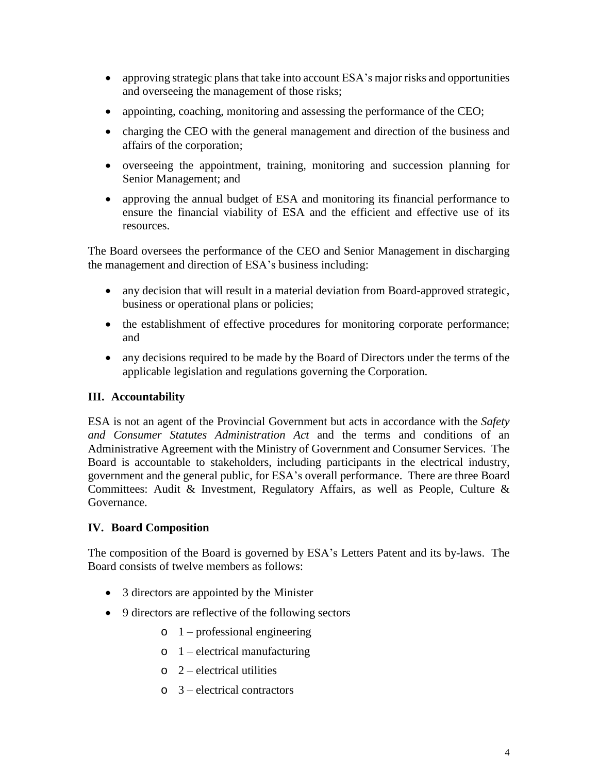- approving strategic plans that take into account ESA's major risks and opportunities and overseeing the management of those risks;
- appointing, coaching, monitoring and assessing the performance of the CEO;
- charging the CEO with the general management and direction of the business and affairs of the corporation;
- overseeing the appointment, training, monitoring and succession planning for Senior Management; and
- approving the annual budget of ESA and monitoring its financial performance to ensure the financial viability of ESA and the efficient and effective use of its resources.

The Board oversees the performance of the CEO and Senior Management in discharging the management and direction of ESA's business including:

- any decision that will result in a material deviation from Board-approved strategic, business or operational plans or policies;
- the establishment of effective procedures for monitoring corporate performance; and
- any decisions required to be made by the Board of Directors under the terms of the applicable legislation and regulations governing the Corporation.

### **III. Accountability**

ESA is not an agent of the Provincial Government but acts in accordance with the *Safety and Consumer Statutes Administration Act* and the terms and conditions of an Administrative Agreement with the Ministry of Government and Consumer Services. The Board is accountable to stakeholders, including participants in the electrical industry, government and the general public, for ESA's overall performance. There are three Board Committees: Audit & Investment, Regulatory Affairs, as well as People, Culture & Governance.

#### **IV. Board Composition**

The composition of the Board is governed by ESA's Letters Patent and its by-laws. The Board consists of twelve members as follows:

- 3 directors are appointed by the Minister
- 9 directors are reflective of the following sectors
	- $o \quad 1$  professional engineering
	- $o \quad 1$  electrical manufacturing
	- $o \quad 2$  electrical utilities
	- o 3 electrical contractors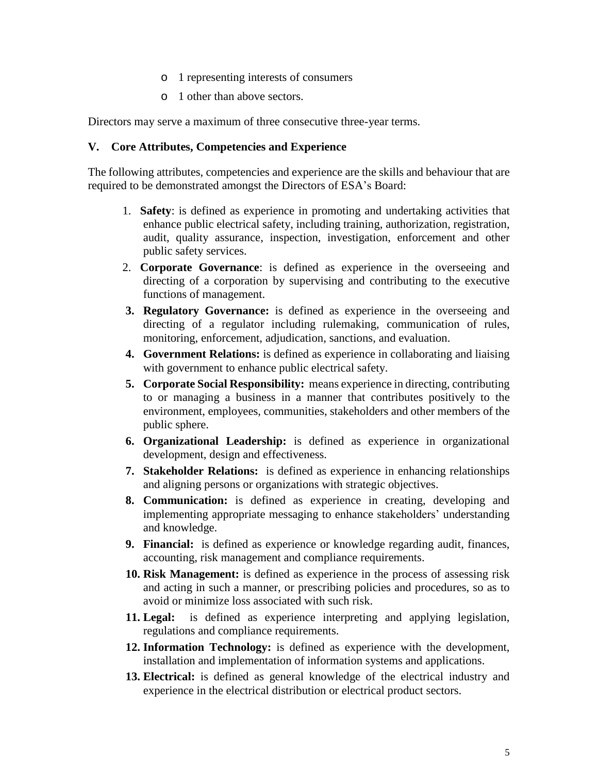- o 1 representing interests of consumers
- o 1 other than above sectors.

Directors may serve a maximum of three consecutive three-year terms.

#### **V. Core Attributes, Competencies and Experience**

The following attributes, competencies and experience are the skills and behaviour that are required to be demonstrated amongst the Directors of ESA's Board:

- 1. **Safety**: is defined as experience in promoting and undertaking activities that enhance public electrical safety, including training, authorization, registration, audit, quality assurance, inspection, investigation, enforcement and other public safety services.
- 2. **Corporate Governance**: is defined as experience in the overseeing and directing of a corporation by supervising and contributing to the executive functions of management.
- **3. Regulatory Governance:** is defined as experience in the overseeing and directing of a regulator including rulemaking, communication of rules, monitoring, enforcement, adjudication, sanctions, and evaluation.
- **4. Government Relations:** is defined as experience in collaborating and liaising with government to enhance public electrical safety.
- **5. Corporate Social Responsibility:** means experience in directing, contributing to or managing a business in a manner that contributes positively to the environment, employees, communities, stakeholders and other members of the public sphere.
- **6. Organizational Leadership:** is defined as experience in organizational development, design and effectiveness.
- **7. Stakeholder Relations:** is defined as experience in enhancing relationships and aligning persons or organizations with strategic objectives.
- **8. Communication:** is defined as experience in creating, developing and implementing appropriate messaging to enhance stakeholders' understanding and knowledge.
- **9. Financial:** is defined as experience or knowledge regarding audit, finances, accounting, risk management and compliance requirements.
- **10. Risk Management:** is defined as experience in the process of assessing risk and acting in such a manner, or prescribing policies and procedures, so as to avoid or minimize loss associated with such risk.
- **11. Legal:** is defined as experience interpreting and applying legislation, regulations and compliance requirements.
- **12. Information Technology:** is defined as experience with the development, installation and implementation of information systems and applications.
- **13. Electrical:** is defined as general knowledge of the electrical industry and experience in the electrical distribution or electrical product sectors.